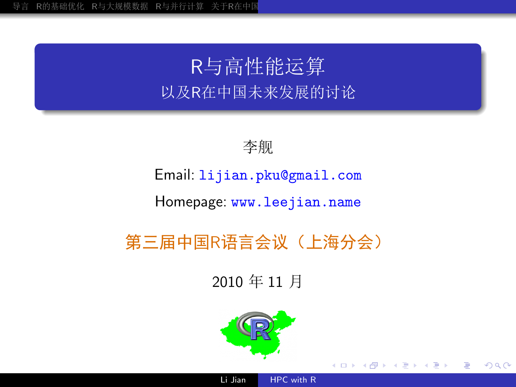## R与高性能运算 以及R在中国未来发展的讨论



Email: lijian.pku@gmail.com

Homepage www.leejian.name

第三届中国R语言会议(上海分会)

2010年11月



<span id="page-0-0"></span>∢⊡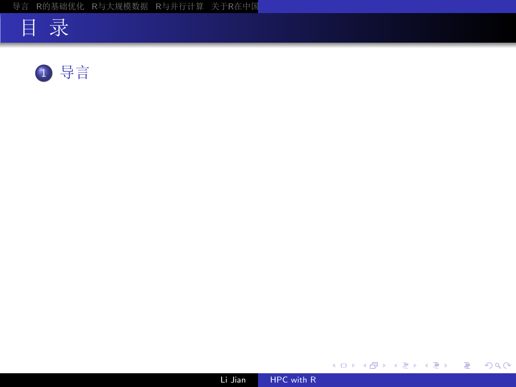





メロメメ 御 メメ きょく きょう

活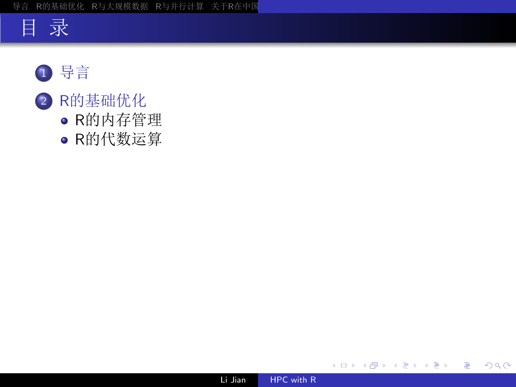



- 2 R的基础优化
	- · R的内存管理
	- · R的代数运算



目

メロト メ団 トメ 君 トメ 君 ト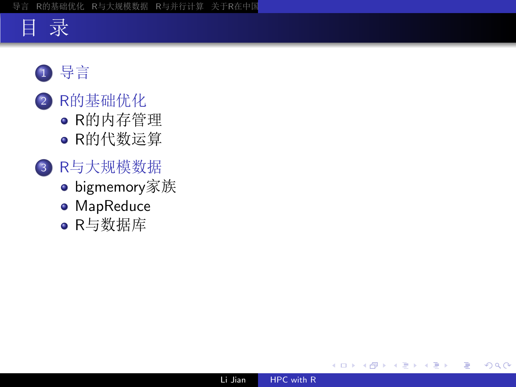## 目录

- 1 导言
- 2 R的基础优化
	- R的内存管理
	- R的代数运算
- 3 R与大规模数据
	- bigmemory家族
	- MapReduce
	- · R与数据库

つくへ

≣

Þ

-b 3 年 Þ. 目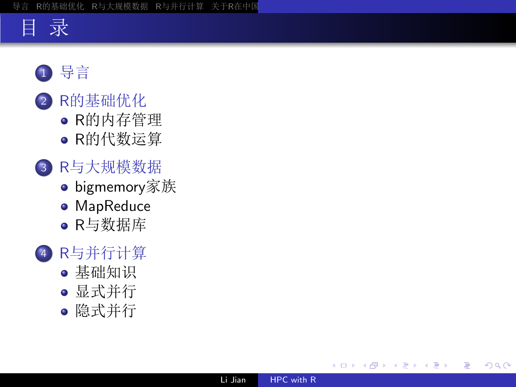## 目录

- 1 导言
- 2 R的基础优化
	- R的内存管理
	- R的代数运算
- 3 R与大规模数据
	- bigmemory家族
	- · MapReduce
	- · R与数据库

### 4 R与并行计算

- 基础知识
- 显式并行
- 隐式并行

目

-b

- 4 E

目

 $\Omega$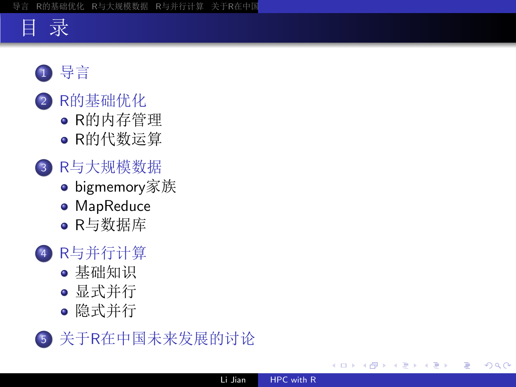## 目录

- 1 导言
- 2 R的基础优化
	- R的内存管理
	- R的代数运算
- 3 R与大规模数据
	- bigmemory家族
	- MapReduce
	- · R与数据库

## 4 R与并行计算

- 基础知识
- 显式并行
- 隐式并行



<span id="page-5-0"></span>目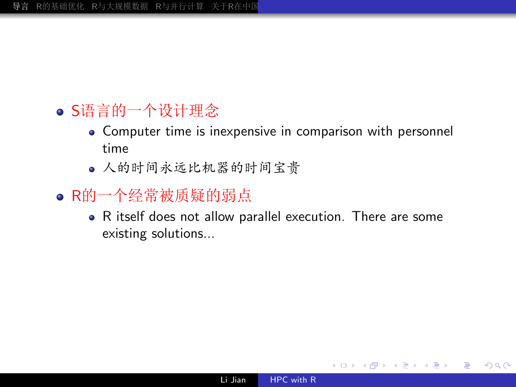#### R的基础优化 R与大规模数据 R与并行计算 关于R在中国 导言

- S语言的一个设计理念
	- Computer time is inexpensive in comparison with personnel time
	- 人的时间永远比机器的时间宝贵
- · R的一个经常被质疑的弱点
	- R itself does not allow parallel execution. There are some existing solutions...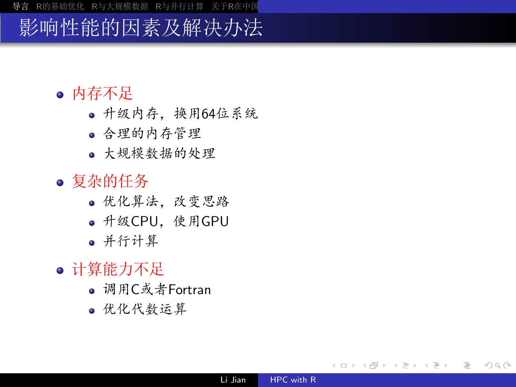## 影响性能的因素及解决办法

- 内存不足
	- 升级内存, 换用64位系统
	- 合理的内存管理
	- 大规模数据的处理
- 复杂的任务
	- 优化算法, 改变思路
	- 升级CPU, 使用GPU
	- 并行计算
- 计算能力不足
	- 调用C或者Fortran
	- 优化代数运算

重

御 ト チミ ト チミ トー

<span id="page-7-0"></span> $\Omega$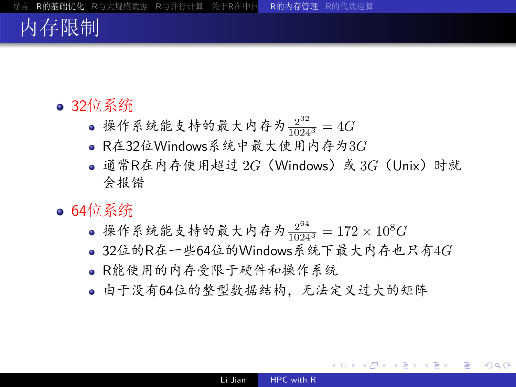## 内存限制

#### ● 32位系统

- 操作系统能支持的最大内存为 $\frac{2^{32}}{10243}$  = 4G
- R在32位Windows系统中最大使用内存为3G
- 通常R在内存使用超过 2G (Windows) 或 3G (Unix) 时就 会报错
- $\bullet$  64位系统
	- 操作系统能支持的最大内存为 $\frac{2^{64}}{10243}$  = 172 × 10<sup>8</sup>G
	- 32位的R在一些64位的Windows系统下最大内存也只有4 $G$
	- · R能使用的内存受限干硬件和操作系统
	- 由于没有64位的整型数据结构, 无法定义过大的矩阵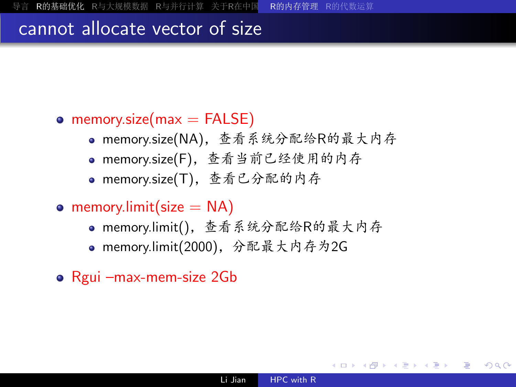#### cannot allocate vector of size

#### • memory.size( $max = FALSE$ )

- memory.size(NA), 查看系统分配给R的最大内存
- · memory.size(F), 查看当前已经使用的内存
- memory.size(T), 查看已分配的内存
- memory.limit(size  $= NA$ )
	- · memory.limit(), 查看系统分配给R的最大内存
	- memory.limit(2000), 分配最大内存为2G
- Rgui -max-mem-size 2Gb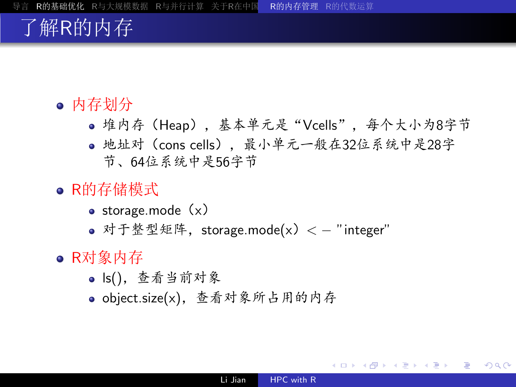## 了解R的内存

- 内存划分
	- 堆内存(Heap),基本单元是"Vcells",每个大小为8字节
	- 地址对(cons cells), 最小单元一般在32位系统中是28字 节、64位系统中是56字节
- R的存储模式
	- $\bullet$  storage.mode  $(x)$
	- 对于整型矩阵, storage.mode(x) < "integer"
- R对象内存
	- ls(), 查看当前对象
	- · object.size(x), 查看对象所占用的内存

 $\Omega$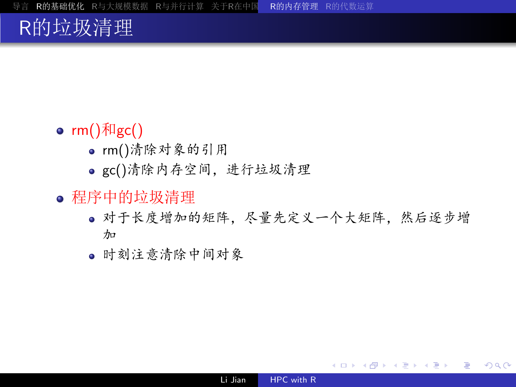## R的垃圾清理

#### •  $rm()$   $\overline{H}$ gc()

- · rm()清除对象的引用
- gc()清除内存空间, 进行垃圾清理
- 程序中的垃圾清理
	- 对于长度增加的矩阵, 尽量先定义一个大矩阵, 然后逐步增  $\n *n*$
	- 时刻注意清除中间对象

重

メ団 トメ ミ ト メ ミ トー

<span id="page-11-0"></span> $\Omega$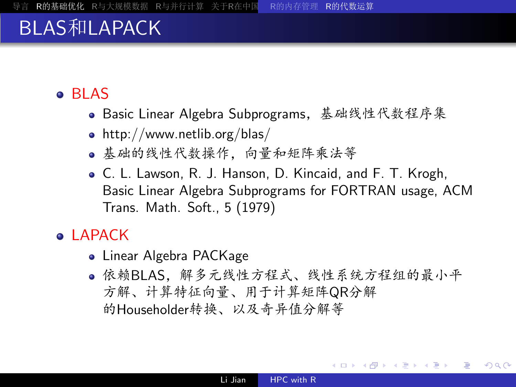## **BLAS和LAPACK**

#### • BLAS

- · Basic Linear Algebra Subprograms, 基础线性代数程序集
- http://www.netlib.org/blas/
- 基础的线性代数操作, 向量和矩阵乘法等
- C. L. Lawson, R. J. Hanson, D. Kincaid, and F. T. Krogh, Basic Linear Algebra Subprograms for FORTRAN usage, ACM Trans. Math. Soft., 5 (1979)

#### • LAPACK

- Linear Algebra PACKage
- 依赖BLAS,解多元线性方程式、线性系统方程组的最小平 方解、计算特征向量、用于计算矩阵QR分解 的Householder转换、以及奇异值分解等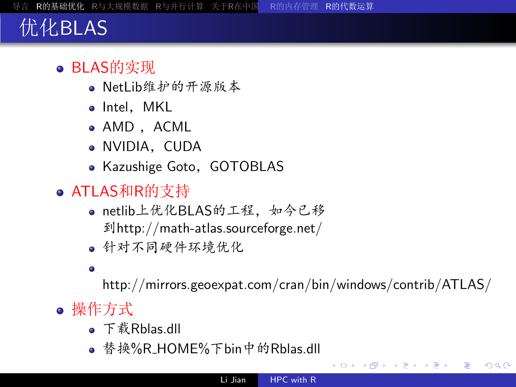## 优化BLAS

### • BLAS的实现

- · NetLib维护的开源版本
- · Intel, MKL
- · AMD, ACML
- · NVIDIA, CUDA
- Kazushige Goto, GOTOBLAS
- ATLAS和R的支持
	- netlib上优化BLAS的工程,如今已移 到http://math-atlas.sourceforge.net/
	- 针对不同硬件环境优化
	- $\bullet$

<span id="page-13-0"></span>http://mirrors.geoexpat.com/cran/bin/windows/contrib/ATLAS/

- 操作方式
	- 下载Rblas.dll
	- 替换%R\_HOME%下bin中的Rblas.dll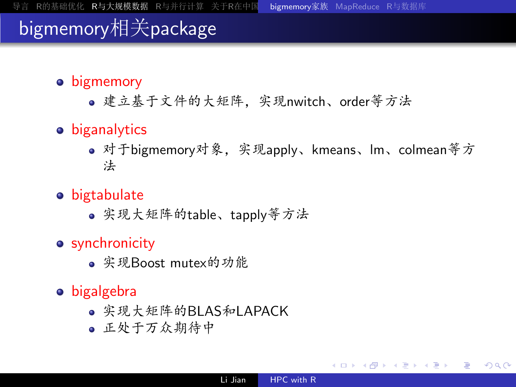## bigmemory相关package

- bigmemory
	- 建立基于文件的大矩阵, 实现nwitch、order等方法
- biganalytics
	- 对于bigmemory对象,实现apply、kmeans、lm、colmean等方 法
- bigtabulate
	- 实现大矩阵的table、tapply等方法
- synchronicity
	- 实现Boost mutex的功能
- bigalgebra
	- 实现大矩阵的BLAS和LAPACK
	- 正处于万众期待中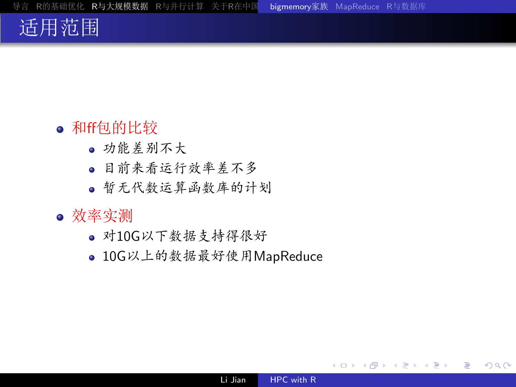## 适用范围

#### • 和ff包的比较

- 功能差别不大
- 目前来看运行效率差不多
- 暂无代数运算函数库的计划

#### • 效率实测

- · 对10G以下数据支持得很好
- 10G以上的数据最好使用MapReduce

<span id="page-15-0"></span>э

AD > 4 F

 $\rightarrow$   $\rightarrow$   $\equiv$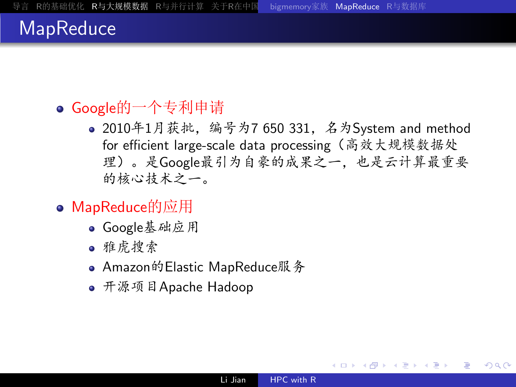## **MapReduce**

- Google的一个专利申请
	- 2010年1月获批, 编号为7 650 331, 名为System and method for efficient large-scale data processing (高效大规模数据处 理)。是Google最引为自豪的成果之一, 也是云计算最重要 的核心技术之一。
- MapReduce的应用
	- Google基础应用
	- 雅虎搜索
	- Amazon的Elastic MapReduce服务
	- 开源项目Apache Hadoop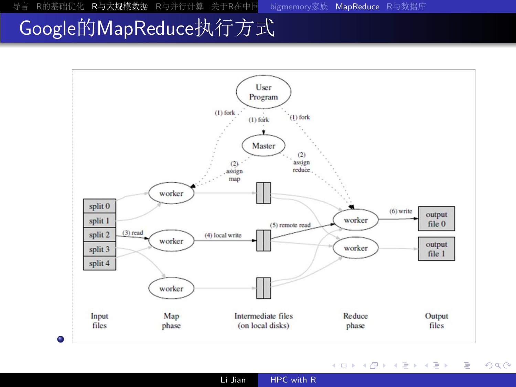## Google的MapReduce执行方式



**K ロ ▶ K 何 ▶ K** 

④重き

造  $\,$  È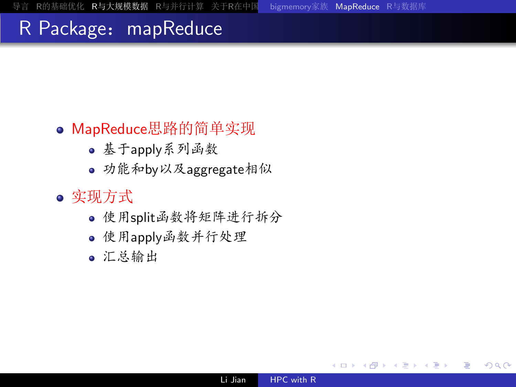## R Package: mapReduce

#### • MapReduce思路的简单实现

- · 基于apply系列函数
- 功能和by以及aggregate相似
- 实现方式
	- 使用split函数将矩阵进行拆分
	- 使用apply函数并行处理
	- 汇总输出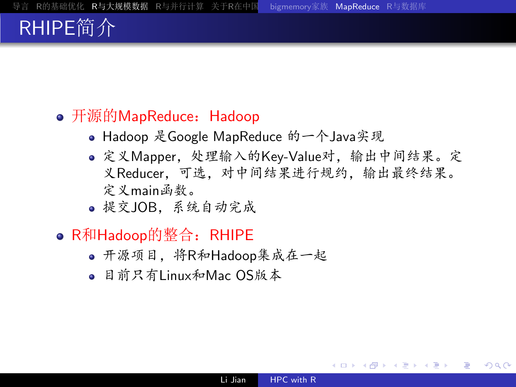## RHIPE简介

#### • 开源的MapReduce: Hadoop

- Hadoop 是Google MapReduce 的一个Java实现
- 定义Mapper, 处理输入的Key-Value对, 输出中间结果。定 义Reducer, 可选, 对中间结果进行规约, 输出最终结果。 定义main函数。
- · 提交JOB. 系统自动完成

#### ● R和Hadoop的整合: RHIPE

- 开源项目, 将R和Hadoop集成在一起
- <span id="page-19-0"></span>• 目前只有Linux和Mac OS版本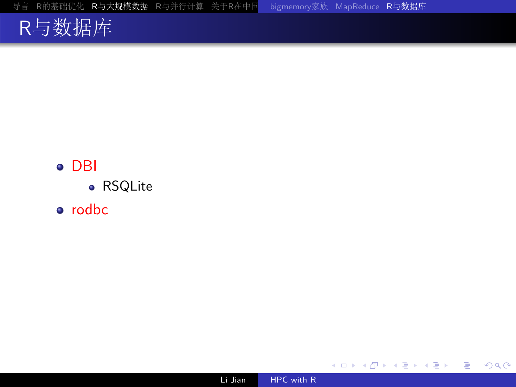导言 R的基础优化 R与大规模数据 R与并行计算 关于R在中国 bigmemory家族 MapReduce R与数据库

## R与数据库

### $\bullet$  DBI

- RSQLite
- · rodbc



<span id="page-20-0"></span>目

メロト メ団 トメ 君 トメ 君 ト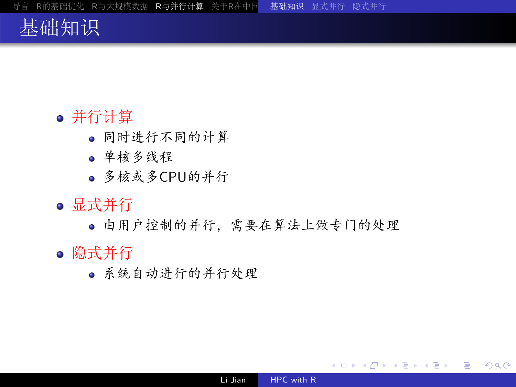## 基础知识

#### • 并行计算

- 同时进行不同的计算
- 单核多线程
- · 多核或多CPU的并行
- 显式并行
	- 由用户控制的并行, 需要在算法上做专门的处理
- 隐式并行
	- 系统自动进行的并行处理

<span id="page-21-0"></span> $299$ 

造

→ メ団 → メミ → メミ →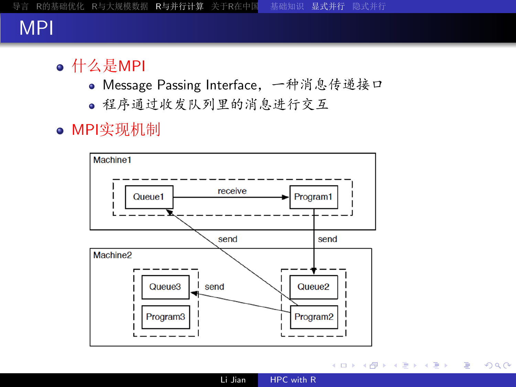## **MPI**

- 什么是MPI
	- Message Passing Interface, 一种消息传递接口
	- 程序通过收发队列里的消息进行交互
- MPI实现机制



K ロ ▶ K @ ▶ K 경 ▶ K 경 ▶ 《 경 ▶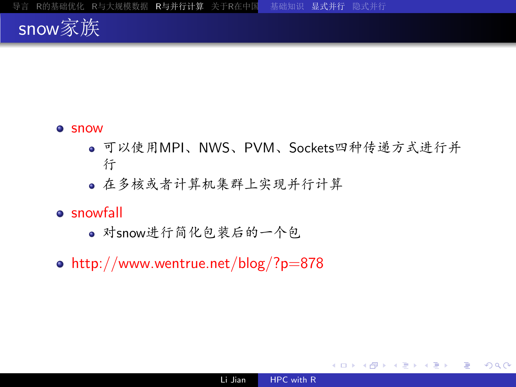

#### **•** snow

- 可以使用MPI、NWS、PVM、Sockets四种传递方式进行并 行
- 在多核或者计算机集群上实现并行计算
- **a** snowfall
	- · 对snow进行简化包装后的一个包
- $\bullet$  http://www.wentrue.net/blog/?p=878

 $299$ 

<span id="page-23-0"></span>э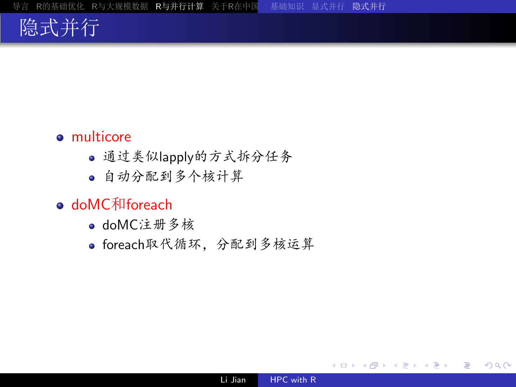## 隐式并行

#### • multicore

- · 通过类似lapply的方式拆分任务
- 自动分配到多个核计算
- doMC和foreach
	- · doMC注册多核
	- · foreach取代循环, 分配到多核运算

 $299$ 

<span id="page-24-0"></span>э

AD > 4 F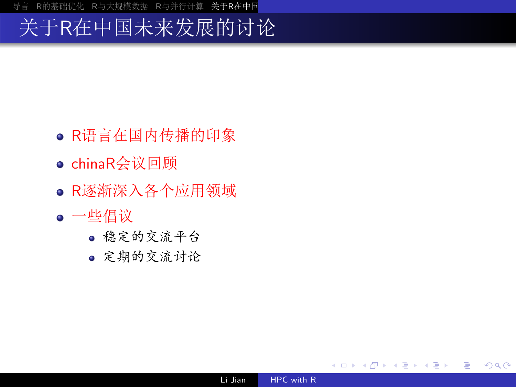## 关于R在中国未来发展的讨论

- · R语言在国内传播的印象
- chinaR会议回顾
- R逐渐深入各个应用领域
- 一些倡议
	- 稳定的交流平台
	- 定期的交流讨论

∢ロト ∢母 ト ∢ き ト ∢ き ト

<span id="page-25-0"></span>活